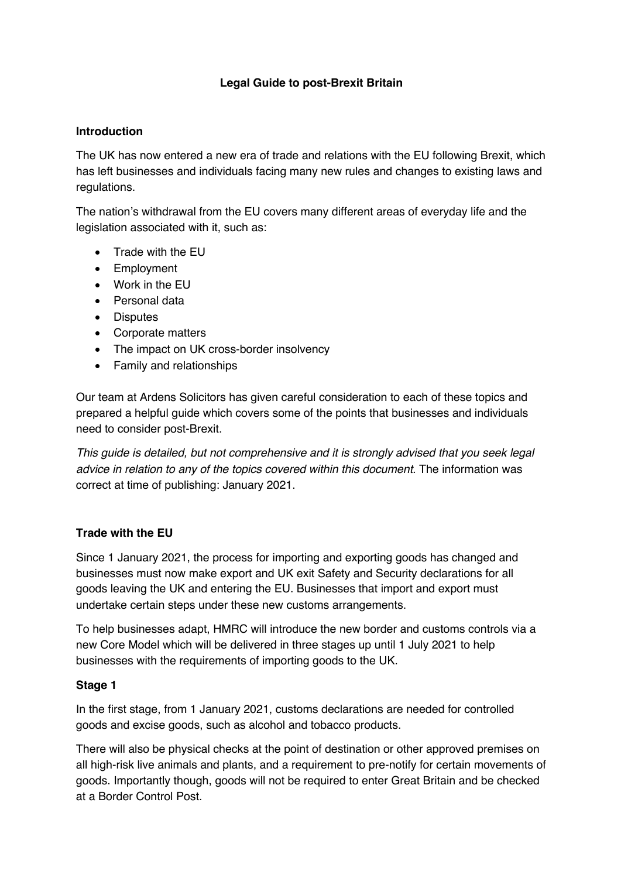## **Legal Guide to post-Brexit Britain**

### **Introduction**

The UK has now entered a new era of trade and relations with the EU following Brexit, which has left businesses and individuals facing many new rules and changes to existing laws and regulations.

The nation's withdrawal from the EU covers many different areas of everyday life and the legislation associated with it, such as:

- Trade with the EU
- Employment
- Work in the EU
- Personal data
- Disputes
- Corporate matters
- The impact on UK cross-border insolvency
- Family and relationships

Our team at Ardens Solicitors has given careful consideration to each of these topics and prepared a helpful guide which covers some of the points that businesses and individuals need to consider post-Brexit.

*This guide is detailed, but not comprehensive and it is strongly advised that you seek legal advice in relation to any of the topics covered within this document.* The information was correct at time of publishing: January 2021.

## **Trade with the EU**

Since 1 January 2021, the process for importing and exporting goods has changed and businesses must now make export and UK exit Safety and Security declarations for all goods leaving the UK and entering the EU. Businesses that import and export must undertake certain steps under these new customs arrangements.

To help businesses adapt, HMRC will introduce the new border and customs controls via a new Core Model which will be delivered in three stages up until 1 July 2021 to help businesses with the requirements of importing goods to the UK.

## **Stage 1**

In the first stage, from 1 January 2021, customs declarations are needed for controlled goods and excise goods, such as alcohol and tobacco products.

There will also be physical checks at the point of destination or other approved premises on all high-risk live animals and plants, and a requirement to pre-notify for certain movements of goods. Importantly though, goods will not be required to enter Great Britain and be checked at a Border Control Post.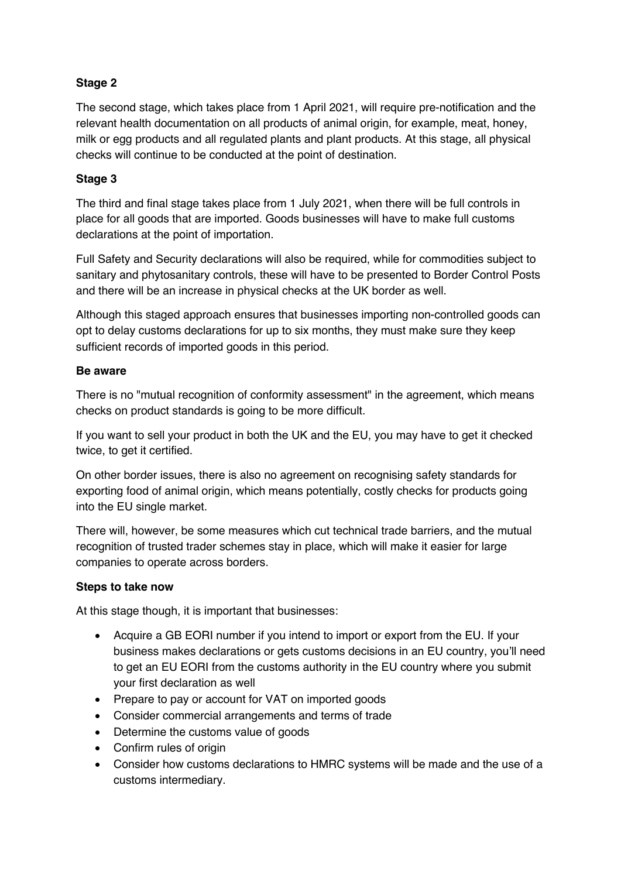# **Stage 2**

The second stage, which takes place from 1 April 2021, will require pre-notification and the relevant health documentation on all products of animal origin, for example, meat, honey, milk or egg products and all regulated plants and plant products. At this stage, all physical checks will continue to be conducted at the point of destination.

# **Stage 3**

The third and final stage takes place from 1 July 2021, when there will be full controls in place for all goods that are imported. Goods businesses will have to make full customs declarations at the point of importation.

Full Safety and Security declarations will also be required, while for commodities subject to sanitary and phytosanitary controls, these will have to be presented to Border Control Posts and there will be an increase in physical checks at the UK border as well.

Although this staged approach ensures that businesses importing non-controlled goods can opt to delay customs declarations for up to six months, they must make sure they keep sufficient records of imported goods in this period.

## **Be aware**

There is no "mutual recognition of conformity assessment" in the agreement, which means checks on product standards is going to be more difficult.

If you want to sell your product in both the UK and the EU, you may have to get it checked twice, to get it certified.

On other border issues, there is also no agreement on recognising safety standards for exporting food of animal origin, which means potentially, costly checks for products going into the EU single market.

There will, however, be some measures which cut technical trade barriers, and the mutual recognition of trusted trader schemes stay in place, which will make it easier for large companies to operate across borders.

## **Steps to take now**

At this stage though, it is important that businesses:

- Acquire a GB EORI number if you intend to import or export from the EU. If your business makes declarations or gets customs decisions in an EU country, you'll need to get an EU EORI from the customs authority in the EU country where you submit your first declaration as well
- Prepare to pay or account for VAT on imported goods
- Consider commercial arrangements and terms of trade
- Determine the customs value of goods
- Confirm rules of origin
- Consider how customs declarations to HMRC systems will be made and the use of a customs intermediary.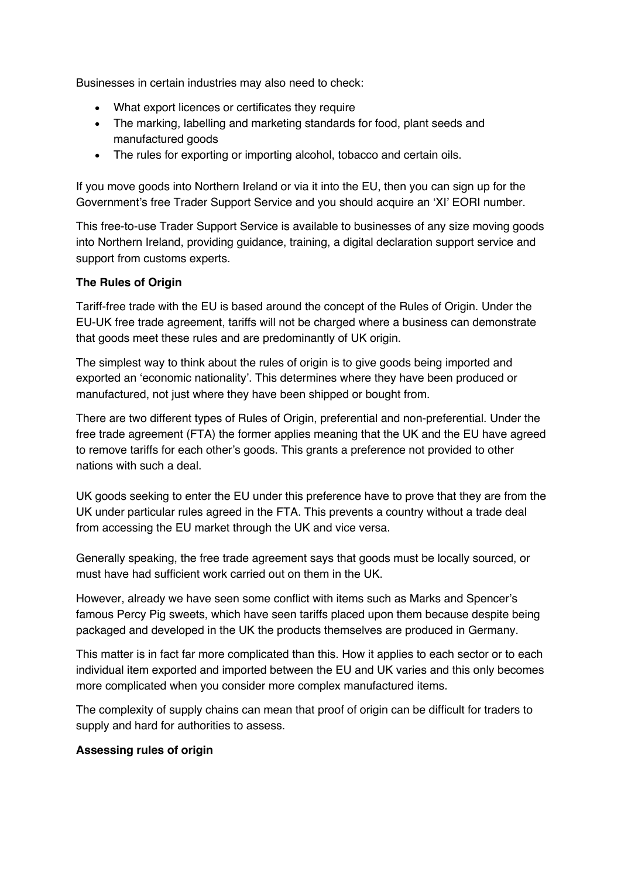Businesses in certain industries may also need to check:

- What export licences or certificates they require
- The marking, labelling and marketing standards for food, plant seeds and manufactured goods
- The rules for exporting or importing alcohol, tobacco and certain oils.

If you move goods into Northern Ireland or via it into the EU, then you can sign up for the Government's free Trader Support Service and you should acquire an 'XI' EORI number.

This free-to-use Trader Support Service is available to businesses of any size moving goods into Northern Ireland, providing guidance, training, a digital declaration support service and support from customs experts.

## **The Rules of Origin**

Tariff-free trade with the EU is based around the concept of the Rules of Origin. Under the EU-UK free trade agreement, tariffs will not be charged where a business can demonstrate that goods meet these rules and are predominantly of UK origin.

The simplest way to think about the rules of origin is to give goods being imported and exported an 'economic nationality'. This determines where they have been produced or manufactured, not just where they have been shipped or bought from.

There are two different types of Rules of Origin, preferential and non-preferential. Under the free trade agreement (FTA) the former applies meaning that the UK and the EU have agreed to remove tariffs for each other's goods. This grants a preference not provided to other nations with such a deal.

UK goods seeking to enter the EU under this preference have to prove that they are from the UK under particular rules agreed in the FTA. This prevents a country without a trade deal from accessing the EU market through the UK and vice versa.

Generally speaking, the free trade agreement says that goods must be locally sourced, or must have had sufficient work carried out on them in the UK.

However, already we have seen some conflict with items such as Marks and Spencer's famous Percy Pig sweets, which have seen tariffs placed upon them because despite being packaged and developed in the UK the products themselves are produced in Germany.

This matter is in fact far more complicated than this. How it applies to each sector or to each individual item exported and imported between the EU and UK varies and this only becomes more complicated when you consider more complex manufactured items.

The complexity of supply chains can mean that proof of origin can be difficult for traders to supply and hard for authorities to assess.

## **Assessing rules of origin**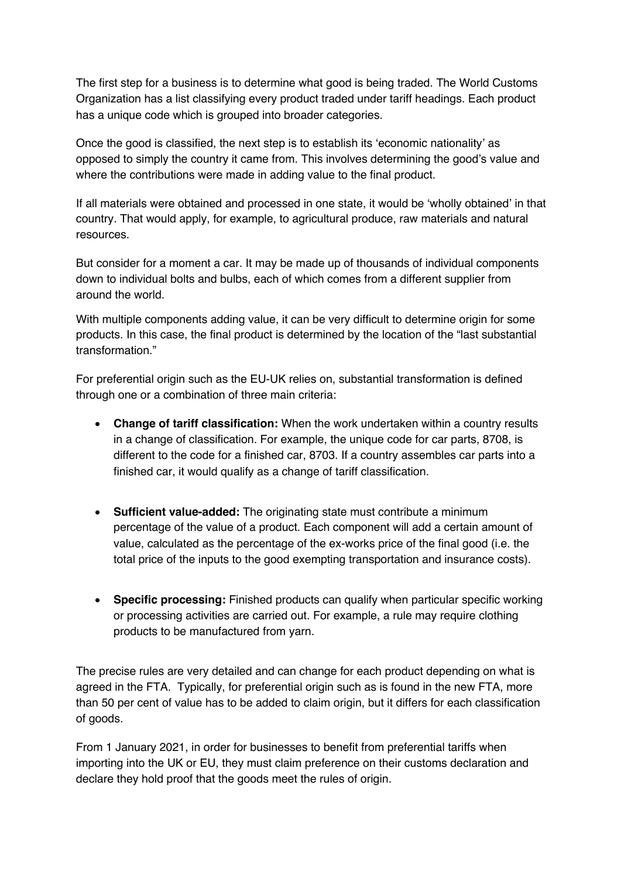The first step for a business is to determine what good is being traded. The World Customs Organization has a list classifying every product traded under tariff headings. Each product has a unique code which is grouped into broader categories.

Once the good is classified, the next step is to establish its 'economic nationality' as opposed to simply the country it came from. This involves determining the good's value and where the contributions were made in adding value to the final product.

If all materials were obtained and processed in one state, it would be 'wholly obtained' in that country. That would apply, for example, to agricultural produce, raw materials and natural resources.

But consider for a moment a car. It may be made up of thousands of individual components down to individual bolts and bulbs, each of which comes from a different supplier from around the world.

With multiple components adding value, it can be very difficult to determine origin for some products. In this case, the final product is determined by the location of the "last substantial transformation."

For preferential origin such as the EU-UK relies on, substantial transformation is defined through one or a combination of three main criteria:

- **Change of tariff classification:** When the work undertaken within a country results in a change of classification. For example, the unique code for car parts, 8708, is different to the code for a finished car, 8703. If a country assembles car parts into a finished car, it would qualify as a change of tariff classification.
- **Sufficient value-added:** The originating state must contribute a minimum percentage of the value of a product. Each component will add a certain amount of value, calculated as the percentage of the ex-works price of the final good (i.e. the total price of the inputs to the good exempting transportation and insurance costs).
- **Specific processing:** Finished products can qualify when particular specific working or processing activities are carried out. For example, a rule may require clothing products to be manufactured from yarn.

The precise rules are very detailed and can change for each product depending on what is agreed in the FTA. Typically, for preferential origin such as is found in the new FTA, more than 50 per cent of value has to be added to claim origin, but it differs for each classification of goods.

From 1 January 2021, in order for businesses to benefit from preferential tariffs when importing into the UK or EU, they must claim preference on their customs declaration and declare they hold proof that the goods meet the rules of origin.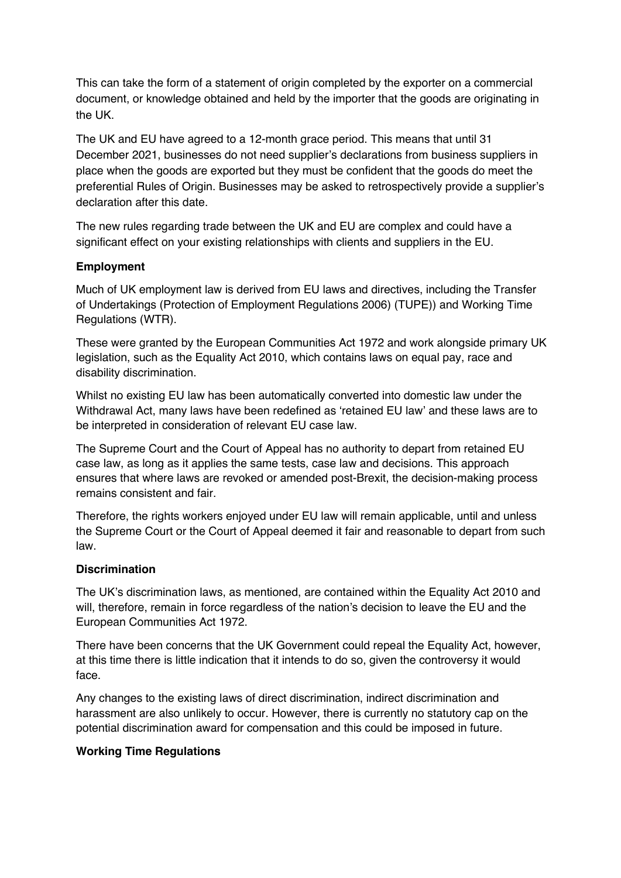This can take the form of a statement of origin completed by the exporter on a commercial document, or knowledge obtained and held by the importer that the goods are originating in the UK.

The UK and EU have agreed to a 12-month grace period. This means that until 31 December 2021, businesses do not need supplier's declarations from business suppliers in place when the goods are exported but they must be confident that the goods do meet the preferential Rules of Origin. Businesses may be asked to retrospectively provide a supplier's declaration after this date.

The new rules regarding trade between the UK and EU are complex and could have a significant effect on your existing relationships with clients and suppliers in the EU.

## **Employment**

Much of UK employment law is derived from EU laws and directives, including the Transfer of Undertakings (Protection of Employment Regulations 2006) (TUPE)) and Working Time Regulations (WTR).

These were granted by the European Communities Act 1972 and work alongside primary UK legislation, such as the Equality Act 2010, which contains laws on equal pay, race and disability discrimination.

Whilst no existing EU law has been automatically converted into domestic law under the Withdrawal Act, many laws have been redefined as 'retained EU law' and these laws are to be interpreted in consideration of relevant EU case law.

The Supreme Court and the Court of Appeal has no authority to depart from retained EU case law, as long as it applies the same tests, case law and decisions. This approach ensures that where laws are revoked or amended post-Brexit, the decision-making process remains consistent and fair.

Therefore, the rights workers enjoyed under EU law will remain applicable, until and unless the Supreme Court or the Court of Appeal deemed it fair and reasonable to depart from such law.

## **Discrimination**

The UK's discrimination laws, as mentioned, are contained within the Equality Act 2010 and will, therefore, remain in force regardless of the nation's decision to leave the EU and the European Communities Act 1972.

There have been concerns that the UK Government could repeal the Equality Act, however, at this time there is little indication that it intends to do so, given the controversy it would face.

Any changes to the existing laws of direct discrimination, indirect discrimination and harassment are also unlikely to occur. However, there is currently no statutory cap on the potential discrimination award for compensation and this could be imposed in future.

## **Working Time Regulations**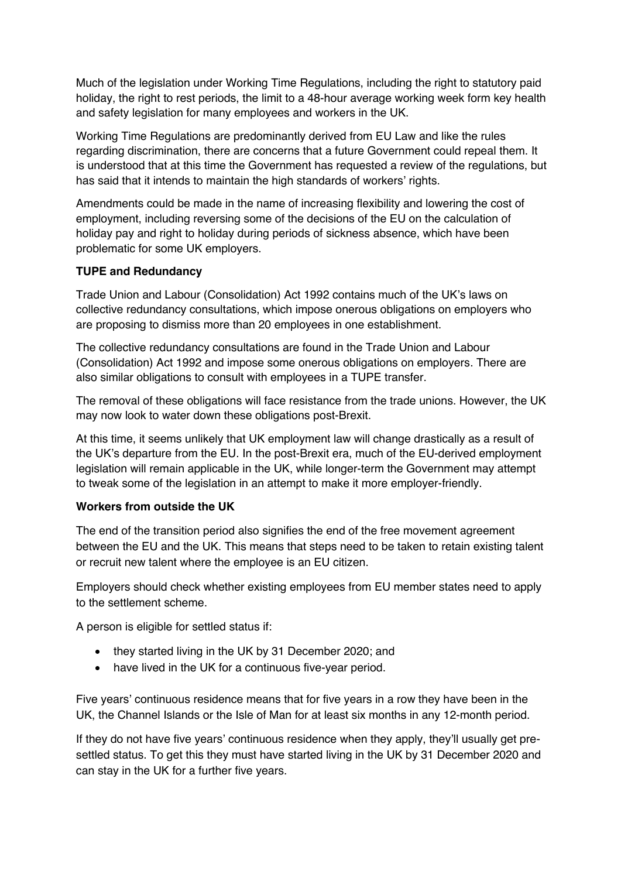Much of the legislation under Working Time Regulations, including the right to statutory paid holiday, the right to rest periods, the limit to a 48-hour average working week form key health and safety legislation for many employees and workers in the UK.

Working Time Regulations are predominantly derived from EU Law and like the rules regarding discrimination, there are concerns that a future Government could repeal them. It is understood that at this time the Government has requested a review of the regulations, but has said that it intends to maintain the high standards of workers' rights.

Amendments could be made in the name of increasing flexibility and lowering the cost of employment, including reversing some of the decisions of the EU on the calculation of holiday pay and right to holiday during periods of sickness absence, which have been problematic for some UK employers.

### **TUPE and Redundancy**

Trade Union and Labour (Consolidation) Act 1992 contains much of the UK's laws on collective redundancy consultations, which impose onerous obligations on employers who are proposing to dismiss more than 20 employees in one establishment.

The collective redundancy consultations are found in the Trade Union and Labour (Consolidation) Act 1992 and impose some onerous obligations on employers. There are also similar obligations to consult with employees in a TUPE transfer.

The removal of these obligations will face resistance from the trade unions. However, the UK may now look to water down these obligations post-Brexit.

At this time, it seems unlikely that UK employment law will change drastically as a result of the UK's departure from the EU. In the post-Brexit era, much of the EU-derived employment legislation will remain applicable in the UK, while longer-term the Government may attempt to tweak some of the legislation in an attempt to make it more employer-friendly.

#### **Workers from outside the UK**

The end of the transition period also signifies the end of the free movement agreement between the EU and the UK. This means that steps need to be taken to retain existing talent or recruit new talent where the employee is an EU citizen.

Employers should check whether existing employees from EU member states need to apply to the settlement scheme.

A person is eligible for settled status if:

- they started living in the UK by 31 December 2020; and
- have lived in the UK for a continuous five-year period.

Five years' continuous residence means that for five years in a row they have been in the UK, the Channel Islands or the Isle of Man for at least six months in any 12-month period.

If they do not have five years' continuous residence when they apply, they'll usually get presettled status. To get this they must have started living in the UK by 31 December 2020 and can stay in the UK for a further five years.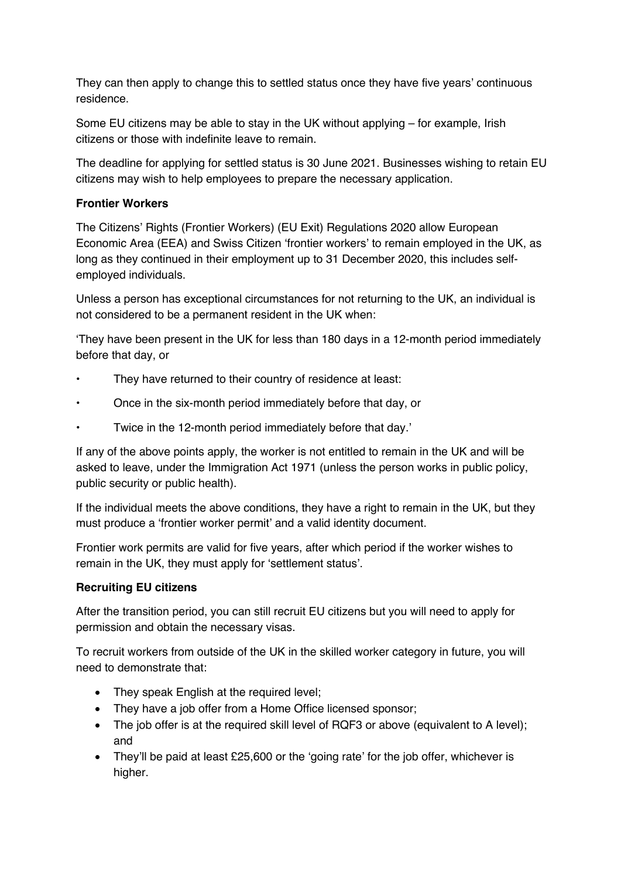They can then apply to change this to settled status once they have five years' continuous residence.

Some EU citizens may be able to stay in the UK without applying – for example, Irish citizens or those with indefinite leave to remain.

The deadline for applying for settled status is 30 June 2021. Businesses wishing to retain EU citizens may wish to help employees to prepare the necessary application.

## **Frontier Workers**

The Citizens' Rights (Frontier Workers) (EU Exit) Regulations 2020 allow European Economic Area (EEA) and Swiss Citizen 'frontier workers' to remain employed in the UK, as long as they continued in their employment up to 31 December 2020, this includes selfemployed individuals.

Unless a person has exceptional circumstances for not returning to the UK, an individual is not considered to be a permanent resident in the UK when:

'They have been present in the UK for less than 180 days in a 12-month period immediately before that day, or

- They have returned to their country of residence at least:
- Once in the six-month period immediately before that day, or
- Twice in the 12-month period immediately before that day.'

If any of the above points apply, the worker is not entitled to remain in the UK and will be asked to leave, under the Immigration Act 1971 (unless the person works in public policy, public security or public health).

If the individual meets the above conditions, they have a right to remain in the UK, but they must produce a 'frontier worker permit' and a valid identity document.

Frontier work permits are valid for five years, after which period if the worker wishes to remain in the UK, they must apply for 'settlement status'.

#### **Recruiting EU citizens**

After the transition period, you can still recruit EU citizens but you will need to apply for permission and obtain the necessary visas.

To recruit workers from outside of the UK in the skilled worker category in future, you will need to demonstrate that:

- They speak English at the required level;
- They have a job offer from a Home Office licensed sponsor;
- The job offer is at the required skill level of RQF3 or above (equivalent to A level); and
- They'll be paid at least £25,600 or the 'going rate' for the job offer, whichever is higher.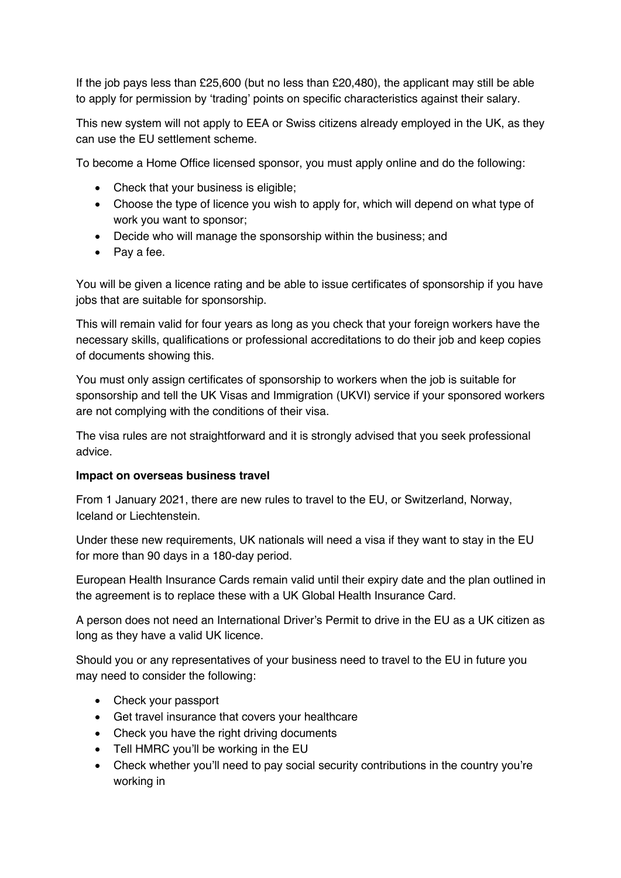If the job pays less than £25,600 (but no less than £20,480), the applicant may still be able to apply for permission by 'trading' points on specific characteristics against their salary.

This new system will not apply to EEA or Swiss citizens already employed in the UK, as they can use the EU settlement scheme.

To become a Home Office licensed sponsor, you must apply online and do the following:

- Check that your business is eligible;
- Choose the type of licence you wish to apply for, which will depend on what type of work you want to sponsor;
- Decide who will manage the sponsorship within the business; and
- Pay a fee.

You will be given a licence rating and be able to issue certificates of sponsorship if you have jobs that are suitable for sponsorship.

This will remain valid for four years as long as you check that your foreign workers have the necessary skills, qualifications or professional accreditations to do their job and keep copies of documents showing this.

You must only assign certificates of sponsorship to workers when the job is suitable for sponsorship and tell the UK Visas and Immigration (UKVI) service if your sponsored workers are not complying with the conditions of their visa.

The visa rules are not straightforward and it is strongly advised that you seek professional advice.

#### **Impact on overseas business travel**

From 1 January 2021, there are new rules to travel to the EU, or Switzerland, Norway, Iceland or Liechtenstein.

Under these new requirements, UK nationals will need a visa if they want to stay in the EU for more than 90 days in a 180-day period.

European Health Insurance Cards remain valid until their expiry date and the plan outlined in the agreement is to replace these with a UK Global Health Insurance Card.

A person does not need an International Driver's Permit to drive in the EU as a UK citizen as long as they have a valid UK licence.

Should you or any representatives of your business need to travel to the EU in future you may need to consider the following:

- Check your passport
- Get travel insurance that covers your healthcare
- Check you have the right driving documents
- Tell HMRC you'll be working in the EU
- Check whether you'll need to pay social security contributions in the country you're working in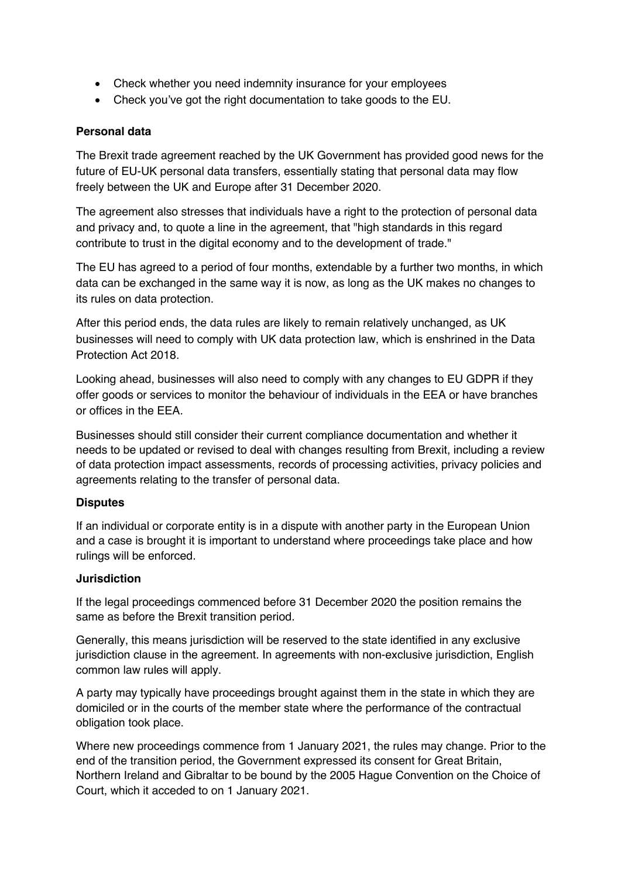- Check whether you need indemnity insurance for your employees
- Check you've got the right documentation to take goods to the EU.

### **Personal data**

The Brexit trade agreement reached by the UK Government has provided good news for the future of EU-UK personal data transfers, essentially stating that personal data may flow freely between the UK and Europe after 31 December 2020.

The agreement also stresses that individuals have a right to the protection of personal data and privacy and, to quote a line in the agreement, that "high standards in this regard contribute to trust in the digital economy and to the development of trade."

The EU has agreed to a period of four months, extendable by a further two months, in which data can be exchanged in the same way it is now, as long as the UK makes no changes to its rules on data protection.

After this period ends, the data rules are likely to remain relatively unchanged, as UK businesses will need to comply with UK data protection law, which is enshrined in the Data Protection Act 2018.

Looking ahead, businesses will also need to comply with any changes to EU GDPR if they offer goods or services to monitor the behaviour of individuals in the EEA or have branches or offices in the EEA.

Businesses should still consider their current compliance documentation and whether it needs to be updated or revised to deal with changes resulting from Brexit, including a review of data protection impact assessments, records of processing activities, privacy policies and agreements relating to the transfer of personal data.

## **Disputes**

If an individual or corporate entity is in a dispute with another party in the European Union and a case is brought it is important to understand where proceedings take place and how rulings will be enforced.

#### **Jurisdiction**

If the legal proceedings commenced before 31 December 2020 the position remains the same as before the Brexit transition period.

Generally, this means jurisdiction will be reserved to the state identified in any exclusive jurisdiction clause in the agreement. In agreements with non-exclusive jurisdiction, English common law rules will apply.

A party may typically have proceedings brought against them in the state in which they are domiciled or in the courts of the member state where the performance of the contractual obligation took place.

Where new proceedings commence from 1 January 2021, the rules may change. Prior to the end of the transition period, the Government expressed its consent for Great Britain, Northern Ireland and Gibraltar to be bound by the 2005 Hague Convention on the Choice of Court, which it acceded to on 1 January 2021.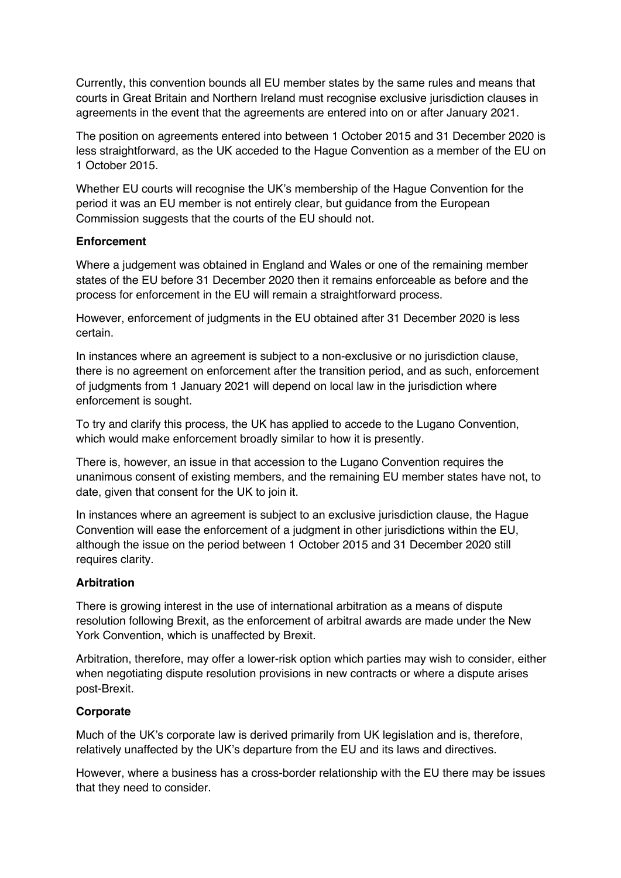Currently, this convention bounds all EU member states by the same rules and means that courts in Great Britain and Northern Ireland must recognise exclusive jurisdiction clauses in agreements in the event that the agreements are entered into on or after January 2021.

The position on agreements entered into between 1 October 2015 and 31 December 2020 is less straightforward, as the UK acceded to the Hague Convention as a member of the EU on 1 October 2015.

Whether EU courts will recognise the UK's membership of the Hague Convention for the period it was an EU member is not entirely clear, but guidance from the European Commission suggests that the courts of the EU should not.

### **Enforcement**

Where a judgement was obtained in England and Wales or one of the remaining member states of the EU before 31 December 2020 then it remains enforceable as before and the process for enforcement in the EU will remain a straightforward process.

However, enforcement of judgments in the EU obtained after 31 December 2020 is less certain.

In instances where an agreement is subject to a non-exclusive or no jurisdiction clause, there is no agreement on enforcement after the transition period, and as such, enforcement of judgments from 1 January 2021 will depend on local law in the jurisdiction where enforcement is sought.

To try and clarify this process, the UK has applied to accede to the Lugano Convention, which would make enforcement broadly similar to how it is presently.

There is, however, an issue in that accession to the Lugano Convention requires the unanimous consent of existing members, and the remaining EU member states have not, to date, given that consent for the UK to join it.

In instances where an agreement is subject to an exclusive jurisdiction clause, the Hague Convention will ease the enforcement of a judgment in other jurisdictions within the EU, although the issue on the period between 1 October 2015 and 31 December 2020 still requires clarity.

## **Arbitration**

There is growing interest in the use of international arbitration as a means of dispute resolution following Brexit, as the enforcement of arbitral awards are made under the New York Convention, which is unaffected by Brexit.

Arbitration, therefore, may offer a lower-risk option which parties may wish to consider, either when negotiating dispute resolution provisions in new contracts or where a dispute arises post-Brexit.

## **Corporate**

Much of the UK's corporate law is derived primarily from UK legislation and is, therefore, relatively unaffected by the UK's departure from the EU and its laws and directives.

However, where a business has a cross-border relationship with the EU there may be issues that they need to consider.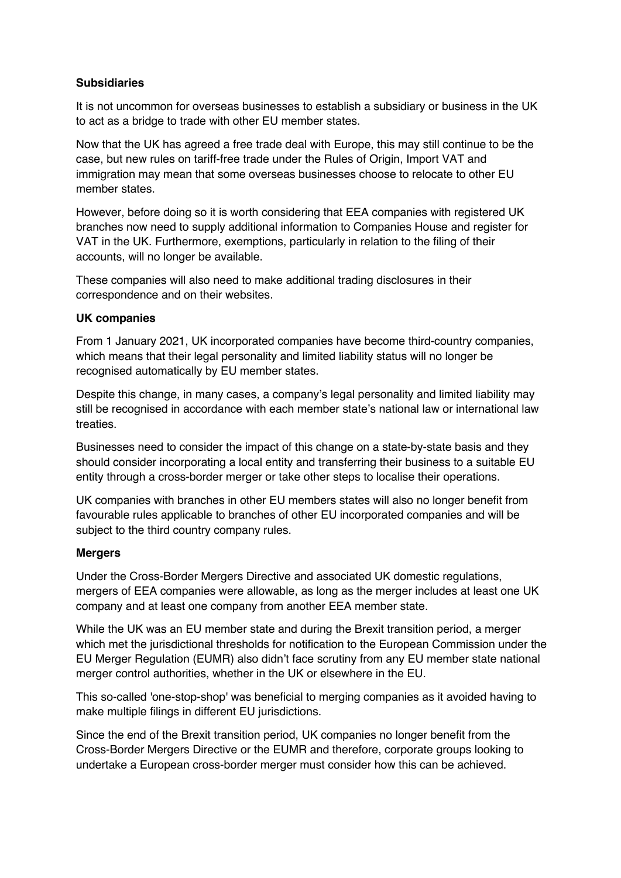### **Subsidiaries**

It is not uncommon for overseas businesses to establish a subsidiary or business in the UK to act as a bridge to trade with other EU member states.

Now that the UK has agreed a free trade deal with Europe, this may still continue to be the case, but new rules on tariff-free trade under the Rules of Origin, Import VAT and immigration may mean that some overseas businesses choose to relocate to other EU member states.

However, before doing so it is worth considering that EEA companies with registered UK branches now need to supply additional information to Companies House and register for VAT in the UK. Furthermore, exemptions, particularly in relation to the filing of their accounts, will no longer be available.

These companies will also need to make additional trading disclosures in their correspondence and on their websites.

#### **UK companies**

From 1 January 2021, UK incorporated companies have become third-country companies, which means that their legal personality and limited liability status will no longer be recognised automatically by EU member states.

Despite this change, in many cases, a company's legal personality and limited liability may still be recognised in accordance with each member state's national law or international law treaties.

Businesses need to consider the impact of this change on a state-by-state basis and they should consider incorporating a local entity and transferring their business to a suitable EU entity through a cross-border merger or take other steps to localise their operations.

UK companies with branches in other EU members states will also no longer benefit from favourable rules applicable to branches of other EU incorporated companies and will be subject to the third country company rules.

#### **Mergers**

Under the Cross-Border Mergers Directive and associated UK domestic regulations, mergers of EEA companies were allowable, as long as the merger includes at least one UK company and at least one company from another EEA member state.

While the UK was an EU member state and during the Brexit transition period, a merger which met the jurisdictional thresholds for notification to the European Commission under the EU Merger Regulation (EUMR) also didn't face scrutiny from any EU member state national merger control authorities, whether in the UK or elsewhere in the EU.

This so-called 'one-stop-shop' was beneficial to merging companies as it avoided having to make multiple filings in different EU jurisdictions.

Since the end of the Brexit transition period, UK companies no longer benefit from the Cross-Border Mergers Directive or the EUMR and therefore, corporate groups looking to undertake a European cross-border merger must consider how this can be achieved.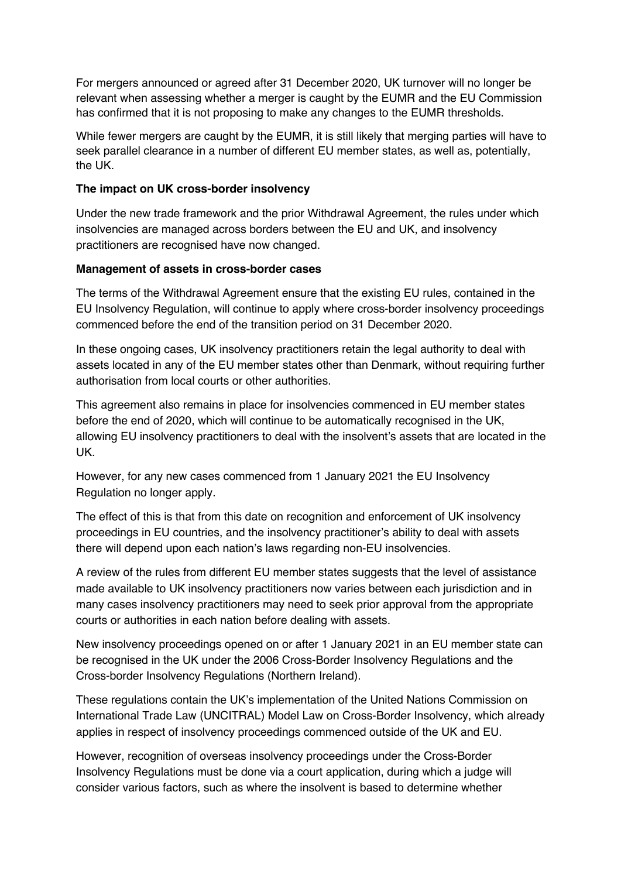For mergers announced or agreed after 31 December 2020, UK turnover will no longer be relevant when assessing whether a merger is caught by the EUMR and the EU Commission has confirmed that it is not proposing to make any changes to the EUMR thresholds.

While fewer mergers are caught by the EUMR, it is still likely that merging parties will have to seek parallel clearance in a number of different EU member states, as well as, potentially, the UK.

#### **The impact on UK cross-border insolvency**

Under the new trade framework and the prior Withdrawal Agreement, the rules under which insolvencies are managed across borders between the EU and UK, and insolvency practitioners are recognised have now changed.

#### **Management of assets in cross-border cases**

The terms of the Withdrawal Agreement ensure that the existing EU rules, contained in the EU Insolvency Regulation, will continue to apply where cross-border insolvency proceedings commenced before the end of the transition period on 31 December 2020.

In these ongoing cases, UK insolvency practitioners retain the legal authority to deal with assets located in any of the EU member states other than Denmark, without requiring further authorisation from local courts or other authorities.

This agreement also remains in place for insolvencies commenced in EU member states before the end of 2020, which will continue to be automatically recognised in the UK, allowing EU insolvency practitioners to deal with the insolvent's assets that are located in the UK.

However, for any new cases commenced from 1 January 2021 the EU Insolvency Regulation no longer apply.

The effect of this is that from this date on recognition and enforcement of UK insolvency proceedings in EU countries, and the insolvency practitioner's ability to deal with assets there will depend upon each nation's laws regarding non-EU insolvencies.

A review of the rules from different EU member states suggests that the level of assistance made available to UK insolvency practitioners now varies between each jurisdiction and in many cases insolvency practitioners may need to seek prior approval from the appropriate courts or authorities in each nation before dealing with assets.

New insolvency proceedings opened on or after 1 January 2021 in an EU member state can be recognised in the UK under the 2006 Cross-Border Insolvency Regulations and the Cross-border Insolvency Regulations (Northern Ireland).

These regulations contain the UK's implementation of the United Nations Commission on International Trade Law (UNCITRAL) Model Law on Cross-Border Insolvency, which already applies in respect of insolvency proceedings commenced outside of the UK and EU.

However, recognition of overseas insolvency proceedings under the Cross-Border Insolvency Regulations must be done via a court application, during which a judge will consider various factors, such as where the insolvent is based to determine whether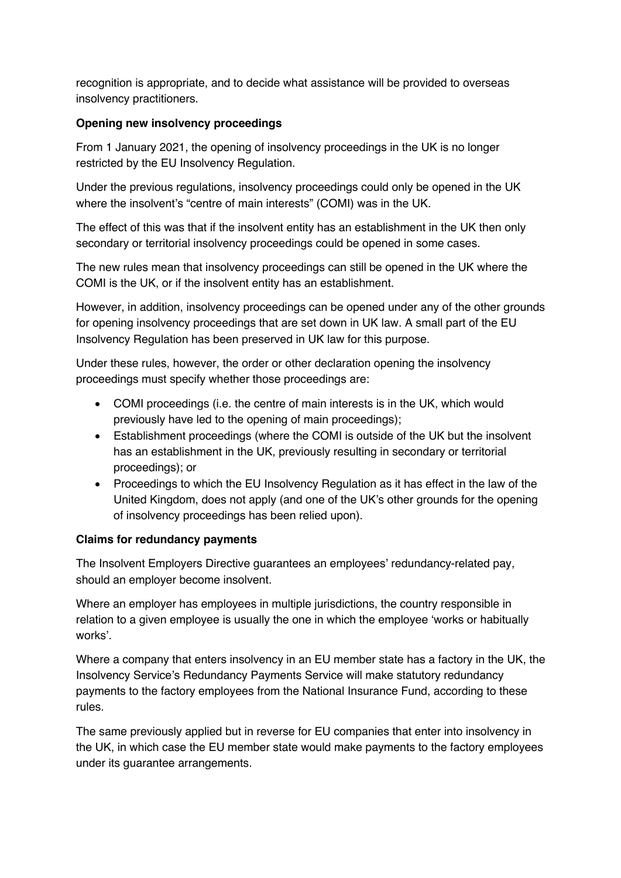recognition is appropriate, and to decide what assistance will be provided to overseas insolvency practitioners.

### **Opening new insolvency proceedings**

From 1 January 2021, the opening of insolvency proceedings in the UK is no longer restricted by the EU Insolvency Regulation.

Under the previous regulations, insolvency proceedings could only be opened in the UK where the insolvent's "centre of main interests" (COMI) was in the UK.

The effect of this was that if the insolvent entity has an establishment in the UK then only secondary or territorial insolvency proceedings could be opened in some cases.

The new rules mean that insolvency proceedings can still be opened in the UK where the COMI is the UK, or if the insolvent entity has an establishment.

However, in addition, insolvency proceedings can be opened under any of the other grounds for opening insolvency proceedings that are set down in UK law. A small part of the EU Insolvency Regulation has been preserved in UK law for this purpose.

Under these rules, however, the order or other declaration opening the insolvency proceedings must specify whether those proceedings are:

- COMI proceedings (i.e. the centre of main interests is in the UK, which would previously have led to the opening of main proceedings);
- Establishment proceedings (where the COMI is outside of the UK but the insolvent has an establishment in the UK, previously resulting in secondary or territorial proceedings); or
- Proceedings to which the EU Insolvency Regulation as it has effect in the law of the United Kingdom, does not apply (and one of the UK's other grounds for the opening of insolvency proceedings has been relied upon).

## **Claims for redundancy payments**

The Insolvent Employers Directive guarantees an employees' redundancy-related pay, should an employer become insolvent.

Where an employer has employees in multiple jurisdictions, the country responsible in relation to a given employee is usually the one in which the employee 'works or habitually works'.

Where a company that enters insolvency in an EU member state has a factory in the UK, the Insolvency Service's Redundancy Payments Service will make statutory redundancy payments to the factory employees from the National Insurance Fund, according to these rules.

The same previously applied but in reverse for EU companies that enter into insolvency in the UK, in which case the EU member state would make payments to the factory employees under its guarantee arrangements.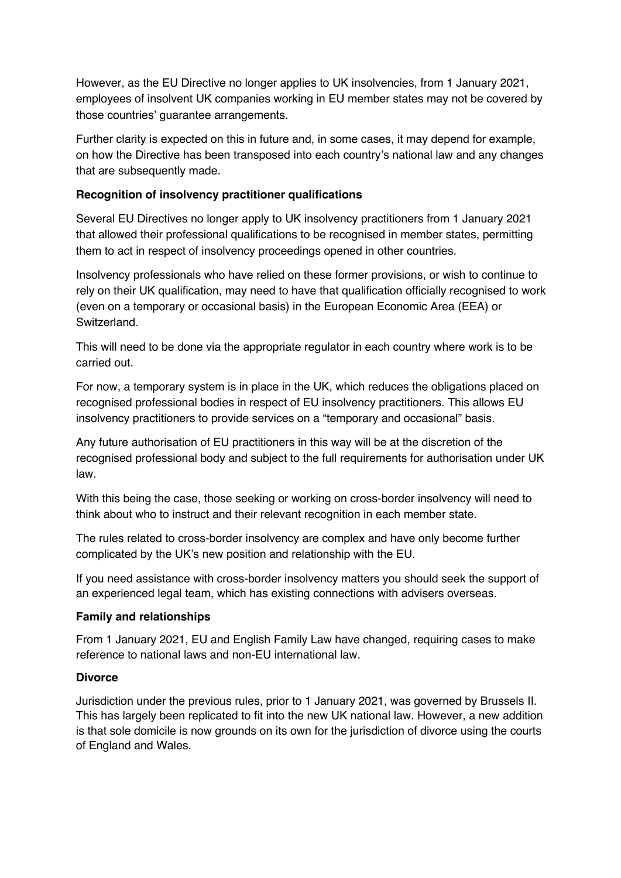However, as the EU Directive no longer applies to UK insolvencies, from 1 January 2021, employees of insolvent UK companies working in EU member states may not be covered by those countries' guarantee arrangements.

Further clarity is expected on this in future and, in some cases, it may depend for example, on how the Directive has been transposed into each country's national law and any changes that are subsequently made.

### **Recognition of insolvency practitioner qualifications**

Several EU Directives no longer apply to UK insolvency practitioners from 1 January 2021 that allowed their professional qualifications to be recognised in member states, permitting them to act in respect of insolvency proceedings opened in other countries.

Insolvency professionals who have relied on these former provisions, or wish to continue to rely on their UK qualification, may need to have that qualification officially recognised to work (even on a temporary or occasional basis) in the European Economic Area (EEA) or Switzerland.

This will need to be done via the appropriate regulator in each country where work is to be carried out.

For now, a temporary system is in place in the UK, which reduces the obligations placed on recognised professional bodies in respect of EU insolvency practitioners. This allows EU insolvency practitioners to provide services on a "temporary and occasional" basis.

Any future authorisation of EU practitioners in this way will be at the discretion of the recognised professional body and subject to the full requirements for authorisation under UK law.

With this being the case, those seeking or working on cross-border insolvency will need to think about who to instruct and their relevant recognition in each member state.

The rules related to cross-border insolvency are complex and have only become further complicated by the UK's new position and relationship with the EU.

If you need assistance with cross-border insolvency matters you should seek the support of an experienced legal team, which has existing connections with advisers overseas.

#### **Family and relationships**

From 1 January 2021, EU and English Family Law have changed, requiring cases to make reference to national laws and non-EU international law.

#### **Divorce**

Jurisdiction under the previous rules, prior to 1 January 2021, was governed by Brussels II. This has largely been replicated to fit into the new UK national law. However, a new addition is that sole domicile is now grounds on its own for the jurisdiction of divorce using the courts of England and Wales.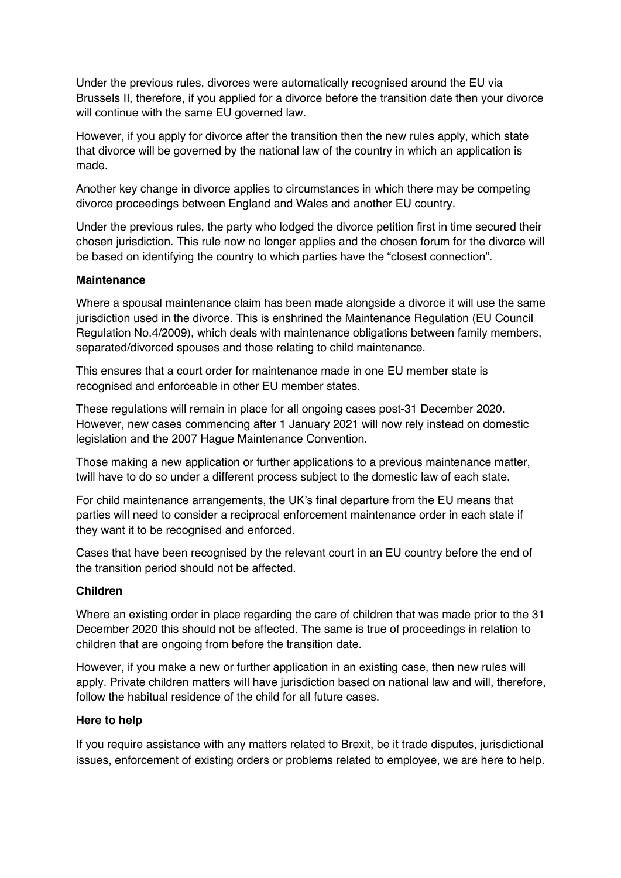Under the previous rules, divorces were automatically recognised around the EU via Brussels II, therefore, if you applied for a divorce before the transition date then your divorce will continue with the same EU governed law.

However, if you apply for divorce after the transition then the new rules apply, which state that divorce will be governed by the national law of the country in which an application is made.

Another key change in divorce applies to circumstances in which there may be competing divorce proceedings between England and Wales and another EU country.

Under the previous rules, the party who lodged the divorce petition first in time secured their chosen jurisdiction. This rule now no longer applies and the chosen forum for the divorce will be based on identifying the country to which parties have the "closest connection".

#### **Maintenance**

Where a spousal maintenance claim has been made alongside a divorce it will use the same jurisdiction used in the divorce. This is enshrined the Maintenance Regulation (EU Council Regulation No.4/2009), which deals with maintenance obligations between family members, separated/divorced spouses and those relating to child maintenance.

This ensures that a court order for maintenance made in one EU member state is recognised and enforceable in other EU member states.

These regulations will remain in place for all ongoing cases post-31 December 2020. However, new cases commencing after 1 January 2021 will now rely instead on domestic legislation and the 2007 Hague Maintenance Convention.

Those making a new application or further applications to a previous maintenance matter, twill have to do so under a different process subject to the domestic law of each state.

For child maintenance arrangements, the UK's final departure from the EU means that parties will need to consider a reciprocal enforcement maintenance order in each state if they want it to be recognised and enforced.

Cases that have been recognised by the relevant court in an EU country before the end of the transition period should not be affected.

#### **Children**

Where an existing order in place regarding the care of children that was made prior to the 31 December 2020 this should not be affected. The same is true of proceedings in relation to children that are ongoing from before the transition date.

However, if you make a new or further application in an existing case, then new rules will apply. Private children matters will have jurisdiction based on national law and will, therefore, follow the habitual residence of the child for all future cases.

#### **Here to help**

If you require assistance with any matters related to Brexit, be it trade disputes, jurisdictional issues, enforcement of existing orders or problems related to employee, we are here to help.